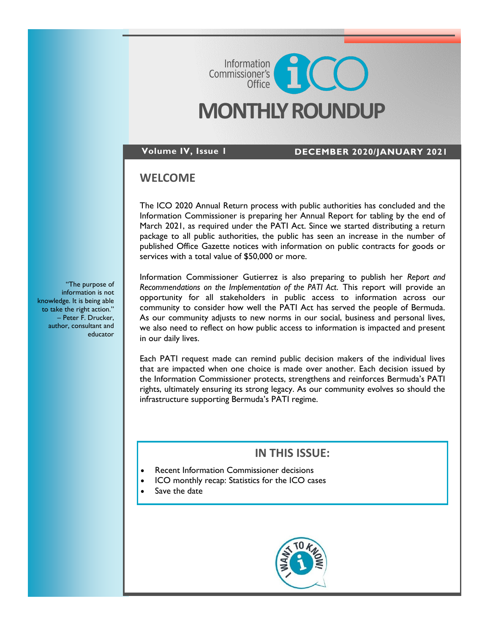# **MONTHLY ROUNDUP**

Commissioner's<br>Commissioner's

**Volume IV, Issue 1 DECEMBER 2020/JANUARY 2021**

# **WELCOME**

The ICO 2020 Annual Return process with public authorities has concluded and the Information Commissioner is preparing her Annual Report for tabling by the end of March 2021, as required under the PATI Act. Since we started distributing a return package to all public authorities, the public has seen an increase in the number of published Office Gazette notices with information on public contracts for goods or services with a total value of \$50,000 or more.

Information Commissioner Gutierrez is also preparing to publish her *Report and Recommendations on the Implementation of the PATI Act*. This report will provide an opportunity for all stakeholders in public access to information across our community to consider how well the PATI Act has served the people of Bermuda. As our community adjusts to new norms in our social, business and personal lives, we also need to reflect on how public access to information is impacted and present in our daily lives.

Each PATI request made can remind public decision makers of the individual lives that are impacted when one choice is made over another. Each decision issued by the Information Commissioner protects, strengthens and reinforces Bermuda's PATI rights, ultimately ensuring its strong legacy. As our community evolves so should the infrastructure supporting Bermuda's PATI regime.

# **IN THIS ISSUE:**

- Recent Information Commissioner decisions
- ICO monthly recap: Statistics for the ICO cases
- Save the date



"The purpose of information is not knowledge. It is being able to take the right action." – Peter F. Drucker, author, consultant and educator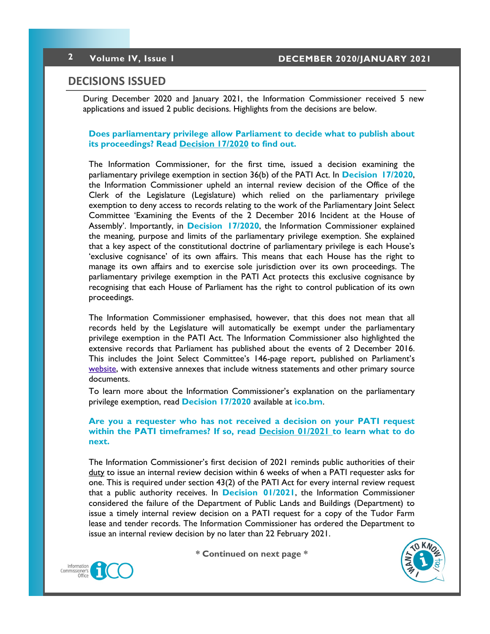## **DECISIONS ISSUED**

During December 2020 and January 2021, the Information Commissioner received 5 new applications and issued 2 public decisions. Highlights from the decisions are below.

### **Does parliamentary privilege allow Parliament to decide what to publish about its proceedings? Read [Decision 17/2020](https://8692bafe-a59b-4adf-8b95-61e6b6541d57.filesusr.com/ugd/5803dc_0d58d32159cc401ba2711e00563613a8.pdf) to find out.**

The Information Commissioner, for the first time, issued a decision examining the parliamentary privilege exemption in section 36(b) of the PATI Act. In **[Decision 17/2020](https://8692bafe-a59b-4adf-8b95-61e6b6541d57.filesusr.com/ugd/5803dc_0d58d32159cc401ba2711e00563613a8.pdf)**, the Information Commissioner upheld an internal review decision of the Office of the Clerk of the Legislature (Legislature) which relied on the parliamentary privilege exemption to deny access to records relating to the work of the Parliamentary Joint Select Committee 'Examining the Events of the 2 December 2016 Incident at the House of Assembly'. Importantly, in **[Decision 17/2020](https://8692bafe-a59b-4adf-8b95-61e6b6541d57.filesusr.com/ugd/5803dc_0d58d32159cc401ba2711e00563613a8.pdf)**, the Information Commissioner explained the meaning, purpose and limits of the parliamentary privilege exemption. She explained that a key aspect of the constitutional doctrine of parliamentary privilege is each House's 'exclusive cognisance' of its own affairs. This means that each House has the right to manage its own affairs and to exercise sole jurisdiction over its own proceedings. The parliamentary privilege exemption in the PATI Act protects this exclusive cognisance by recognising that each House of Parliament has the right to control publication of its own proceedings.

The Information Commissioner emphasised, however, that this does not mean that all records held by the Legislature will automatically be exempt under the parliamentary privilege exemption in the PATI Act. The Information Commissioner also highlighted the extensive records that Parliament has published about the events of 2 December 2016. This includes the Joint Select Committee's 146-page report, published on Parliament's [website,](http://parliament.bm/report/view/2019/377) with extensive annexes that include witness statements and other primary source documents.

To learn more about the Information Commissioner's explanation on the parliamentary privilege exemption, read **[Decision 17/2020](https://8692bafe-a59b-4adf-8b95-61e6b6541d57.filesusr.com/ugd/5803dc_0d58d32159cc401ba2711e00563613a8.pdf)** available at **[ico.bm](http://www.ico.bm)**.

## **Are you a requester who has not received a decision on your PATI request within the PATI timeframes? If so, read [Decision 01/2021](https://8692bafe-a59b-4adf-8b95-61e6b6541d57.filesusr.com/ugd/5803dc_34cd930e700f45e993d71f286deff86d.pdf) to learn what to do next.**

The Information Commissioner's first decision of 2021 reminds public authorities of their duty to issue an internal review decision within 6 weeks of when a PATI requester asks for one. This is required under section 43(2) of the PATI Act for every internal review request that a public authority receives. In **[Decision 01/2021](https://8692bafe-a59b-4adf-8b95-61e6b6541d57.filesusr.com/ugd/5803dc_34cd930e700f45e993d71f286deff86d.pdf)**, the Information Commissioner considered the failure of the Department of Public Lands and Buildings (Department) to issue a timely internal review decision on a PATI request for a copy of the Tudor Farm lease and tender records. The Information Commissioner has ordered the Department to issue an internal review decision by no later than 22 February 2021.



**\* Continued on next page \***